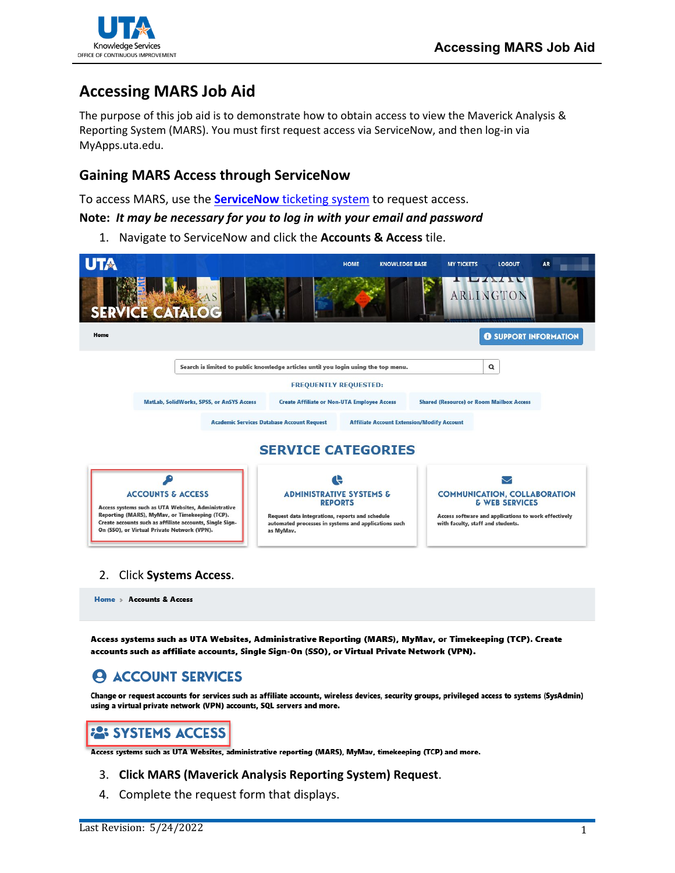

# **Accessing MARS Job Aid**

The purpose of this job aid is to demonstrate how to obtain access to view the Maverick Analysis & Reporting System (MARS). You must first request access via ServiceNow, and then log-in via MyApps.uta.edu.

## **Gaining MARS Access through ServiceNow**

To access MARS, use the **ServiceNow** [ticketing system](https://uta.service-now.com/selfservice/) to request access.

### **Note:** *It may be necessary for you to log in with your email and password*

1. Navigate to ServiceNow and click the **Accounts & Access** tile.



Home > Accounts & Access

Access systems such as UTA Websites, Administrative Reporting (MARS), MyMav, or Timekeeping (TCP). Create accounts such as affiliate accounts, Single Sign-On (SSO), or Virtual Private Network (VPN).

#### **ACCOUNT SERVICES** А

Change or request accounts for services such as affiliate accounts, wireless devices, security groups, privileged access to systems (SysAdmin) using a virtual private network (VPN) accounts, SQL servers and more.

# **22: SYSTEMS ACCESS**

Access systems such as UTA Websites, administrative reporting (MARS), MyMav, timekeeping (TCP) and more.

### 3. **Click MARS (Maverick Analysis Reporting System) Request**.

4. Complete the request form that displays.